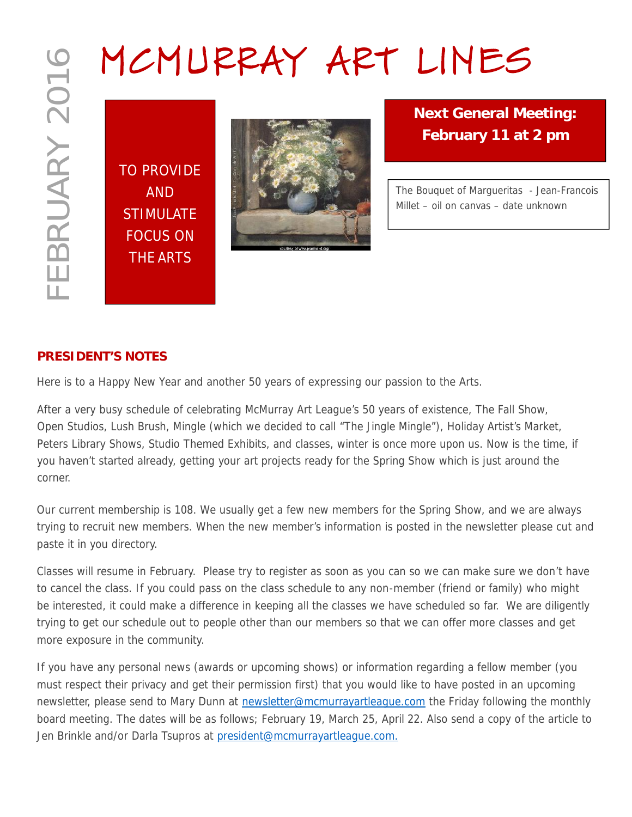TO PROVIDE AND **STIMULATE** FOCUS ON THE ARTS



**Next General Meeting: February 11 at 2 pm**

*The Bouquet of Margueritas - Jean-Francois Millet – oil on canvas – date unknown*

# **PRESIDENT'S NOTES**

Here is to a Happy New Year and another 50 years of expressing our passion to the Arts.

After a very busy schedule of celebrating McMurray Art League's 50 years of existence, The Fall Show, Open Studios, Lush Brush, Mingle (which we decided to call "The Jingle Mingle"), Holiday Artist's Market, Peters Library Shows, Studio Themed Exhibits, and classes, winter is once more upon us. Now is the time, if you haven't started already, getting your art projects ready for the Spring Show which is just around the corner.

Our current membership is 108. We usually get a few new members for the Spring Show, and we are always trying to recruit new members. When the new member's information is posted in the newsletter please cut and paste it in you directory.

Classes will resume in February. Please try to register as soon as you can so we can make sure we don't have to cancel the class. If you could pass on the class schedule to any non-member (friend or family) who might be interested, it could make a difference in keeping all the classes we have scheduled so far. We are diligently trying to get our schedule out to people other than our members so that we can offer more classes and get more exposure in the community.

If you have any personal news (awards or upcoming shows) or information regarding a fellow member (you must respect their privacy and get their permission first) that you would like to have posted in an upcoming newsletter, please send to Mary Dunn at newsletter@mcmurrayartleague.com the Friday following the monthly board meeting. The dates will be as follows; February 19, March 25, April 22. Also send a copy of the article to Jen Brinkle and/or Darla Tsupros at president@mcmurrayartleague.com.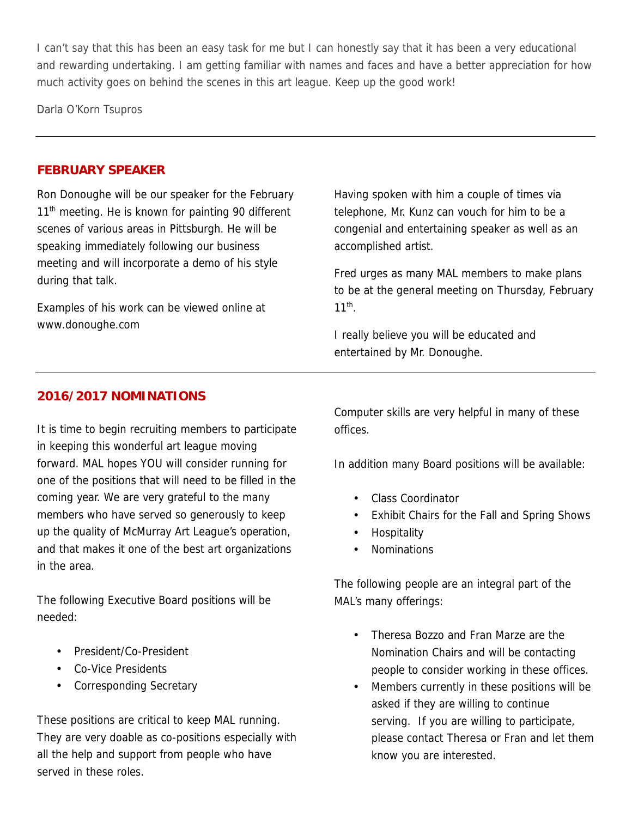I can't say that this has been an easy task for me but I can honestly say that it has been a very educational and rewarding undertaking. I am getting familiar with names and faces and have a better appreciation for how much activity goes on behind the scenes in this art league. Keep up the good work!

Darla O'Korn Tsupros

#### **FEBRUARY SPEAKER**

Ron Donoughe will be our speaker for the February  $11<sup>th</sup>$  meeting. He is known for painting 90 different scenes of various areas in Pittsburgh. He will be speaking immediately following our business meeting and will incorporate a demo of his style during that talk.

Examples of his work can be viewed online at www.donoughe.com

Having spoken with him a couple of times via telephone, Mr. Kunz can vouch for him to be a congenial and entertaining speaker as well as an accomplished artist.

Fred urges as many MAL members to make plans to be at the general meeting on Thursday, February  $11^{\text{th}}$ .

I really believe you will be educated and entertained by Mr. Donoughe.

### **2016/2017 NOMINATIONS**

It is time to begin recruiting members to participate in keeping this wonderful art league moving forward. MAL hopes YOU will consider running for one of the positions that will need to be filled in the coming year. We are very grateful to the many members who have served so generously to keep up the quality of McMurray Art League's operation, and that makes it one of the best art organizations in the area.

The following Executive Board positions will be needed:

- President/Co-President
- Co-Vice Presidents
- Corresponding Secretary

These positions are critical to keep MAL running. They are very doable as co-positions especially with all the help and support from people who have served in these roles.

Computer skills are very helpful in many of these offices.

In addition many Board positions will be available:

- Class Coordinator
- Exhibit Chairs for the Fall and Spring Shows
- Hospitality
- Nominations

The following people are an integral part of the MAL's many offerings:

- Theresa Bozzo and Fran Marze are the Nomination Chairs and will be contacting people to consider working in these offices.
- Members currently in these positions will be asked if they are willing to continue serving. If you are willing to participate, please contact Theresa or Fran and let them know you are interested.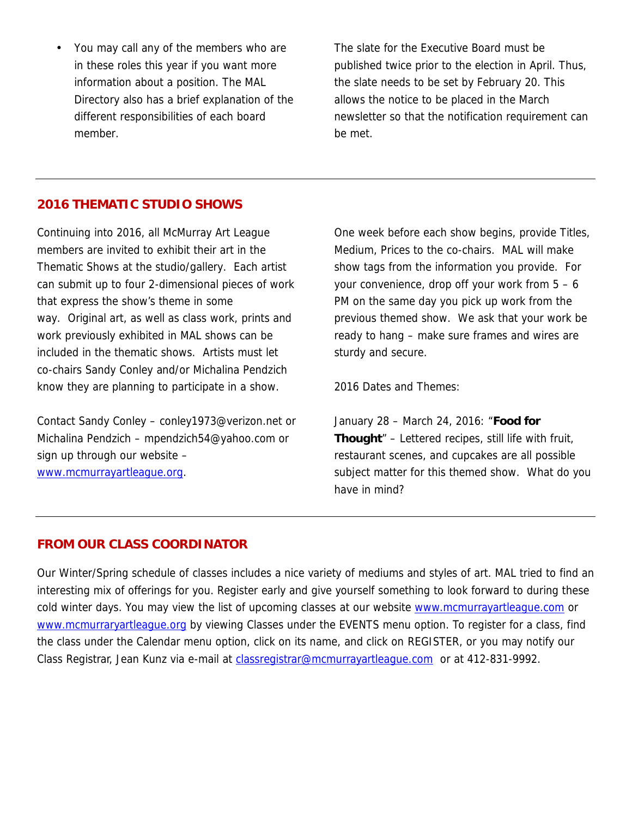You may call any of the members who are in these roles this year if you want more information about a position. The MAL Directory also has a brief explanation of the different responsibilities of each board member.

The slate for the Executive Board must be published twice prior to the election in April. Thus, the slate needs to be set by February 20. This allows the notice to be placed in the March newsletter so that the notification requirement can be met.

### **2016 THEMATIC STUDIO SHOWS**

Continuing into 2016, all McMurray Art League members are invited to exhibit their art in the Thematic Shows at the studio/gallery. Each artist can submit up to four 2-dimensional pieces of work that express the show's theme in some way. Original art, as well as class work, prints and work previously exhibited in MAL shows can be included in the thematic shows. Artists must let co-chairs Sandy Conley and/or Michalina Pendzich know they are planning to participate in a show.

Contact Sandy Conley – conley1973@verizon.net or Michalina Pendzich – mpendzich54@yahoo.com or sign up through our website – www.mcmurrayartleague.org.

One week before each show begins, provide Titles, Medium, Prices to the co-chairs. MAL will make show tags from the information you provide. For your convenience, drop off your work from 5 – 6 PM on the same day you pick up work from the previous themed show. We ask that your work be ready to hang – make sure frames and wires are sturdy and secure.

*2016 Dates and Themes:*

January 28 – March 24, 2016: "*Food for Thought*" – Lettered recipes, still life with fruit, restaurant scenes, and cupcakes are all possible subject matter for this themed show. What do you have in mind?

#### **FROM OUR CLASS COORDINATOR**

Our Winter/Spring schedule of classes includes a nice variety of mediums and styles of art. MAL tried to find an interesting mix of offerings for you. Register early and give yourself something to look forward to during these cold winter days. You may view the list of upcoming classes at our website www.mcmurrayartleague.com or www.mcmurraryartleague.org by viewing *Classes* under the EVENTS menu option. To register for a class, find the class under the Calendar menu option, click on its name, and click on REGISTER, or you may notify our Class Registrar, Jean Kunz via e-mail at classregistrar@mcmurrayartleague.com or at 412-831-9992.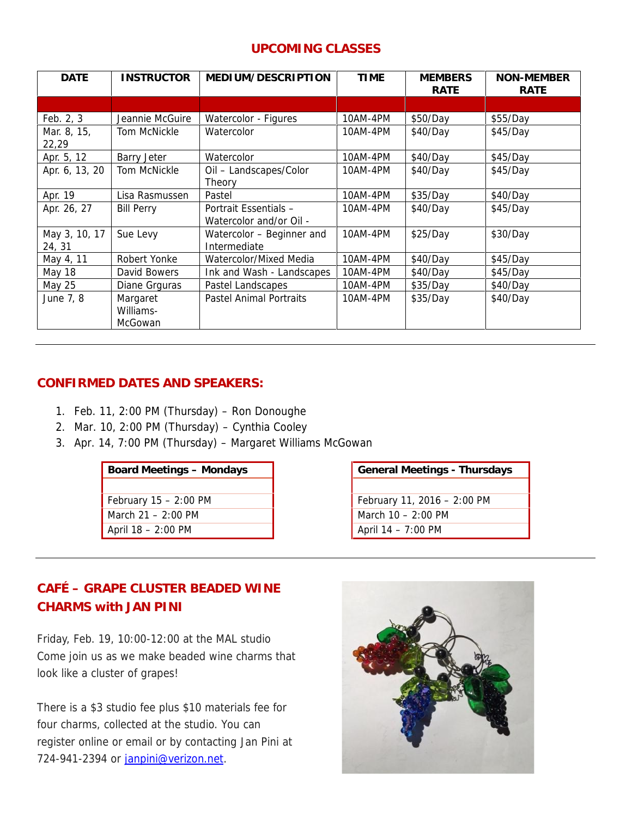# **UPCOMING CLASSES**

| <b>DATE</b>             | <b>INSTRUCTOR</b>                | MEDIUM/DESCRIPTION                               | <b>TIME</b> | <b>MEMBERS</b><br>RATE | NON-MEMBER<br>RATE |
|-------------------------|----------------------------------|--------------------------------------------------|-------------|------------------------|--------------------|
|                         |                                  |                                                  |             |                        |                    |
| Feb. 2, 3               | Jeannie McGuire                  | Watercolor - Figures                             | 10AM-4PM    | \$50/Day               | \$55/Day           |
| Mar. 8, 15,<br>22,29    | Tom McNickle                     | Watercolor                                       | 10AM-4PM    | \$40/Day               | \$45/Day           |
| Apr. 5, 12              | Barry Jeter                      | Watercolor                                       | 10AM-4PM    | \$40/Day               | \$45/Day           |
| Apr. 6, 13, 20          | Tom McNickle                     | Oil - Landscapes/Color<br>Theory                 | 10AM-4PM    | \$40/Day               | \$45/Day           |
| Apr. 19                 | Lisa Rasmussen                   | Pastel                                           | 10AM-4PM    | \$35/Day               | \$40/Day           |
| Apr. 26, 27             | <b>Bill Perry</b>                | Portrait Essentials -<br>Watercolor and/or Oil - | 10AM-4PM    | \$40/Day               | \$45/Day           |
| May 3, 10, 17<br>24, 31 | Sue Levy                         | Watercolor - Beginner and<br>Intermediate        | 10AM-4PM    | \$25/Day               | \$30/Day           |
| May 4, 11               | Robert Yonke                     | Watercolor/Mixed Media                           | 10AM-4PM    | \$40/Day               | \$45/Day           |
| <b>May 18</b>           | David Bowers                     | Ink and Wash - Landscapes                        | 10AM-4PM    | \$40/Day               | \$45/Day           |
| <b>May 25</b>           | Diane Grguras                    | Pastel Landscapes                                | 10AM-4PM    | \$35/Day               | \$40/Day           |
| June 7, 8               | Margaret<br>Williams-<br>McGowan | <b>Pastel Animal Portraits</b>                   | 10AM-4PM    | \$35/Day               | \$40/Day           |

# **CONFIRMED DATES AND SPEAKERS:**

- 1. Feb. 11, 2:00 PM (Thursday) Ron Donoughe
- 2. Mar. 10, 2:00 PM (Thursday) Cynthia Cooley
- 3. Apr. 14, 7:00 PM (Thursday) Margaret Williams McGowan

February 15 – 2:00 PM February 11, 2016 – 2:00 PM March 21 – 2:00 PM **March 10 – 2:00 PM** April 18 – 2:00 PM **April 14 – 7:00 PM** 

**Board Meetings – Mondays General Meetings - Thursdays** 

# **CAFÉ – GRAPE CLUSTER BEADED WINE CHARMS with JAN PINI**

Friday, Feb. 19, 10:00-12:00 at the MAL studio Come join us as we make beaded wine charms that look like a cluster of grapes!

There is a \$3 studio fee plus \$10 materials fee for four charms, collected at the studio. You can register online or email or by contacting Jan Pini at 724-941-2394 or janpini@verizon.net.

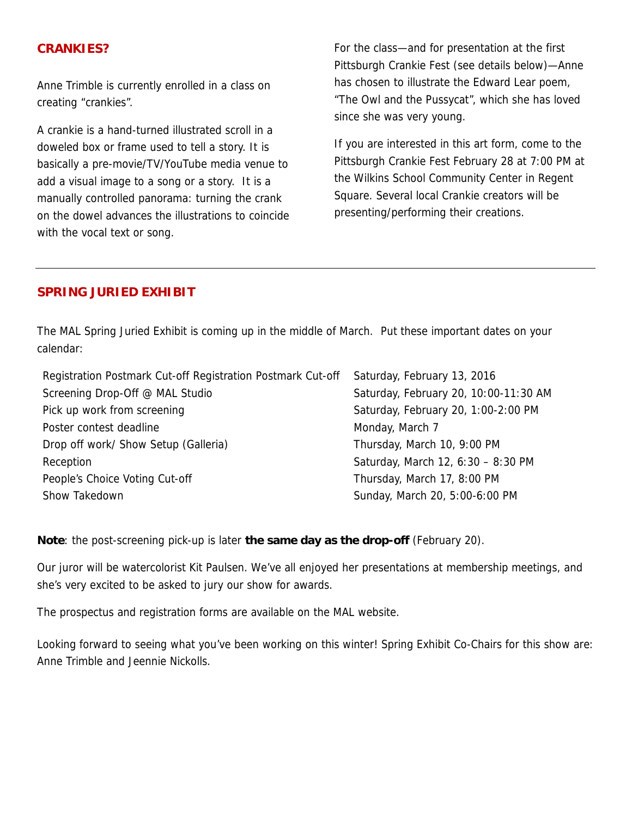### **CRANKIES?**

Anne Trimble is currently enrolled in a class on creating "crankies".

A crankie is a hand-turned illustrated scroll in a doweled box or frame used to tell a story. It is basically a pre-movie/TV/YouTube media venue to add a visual image to a song or a story. It is a manually controlled panorama: turning the crank on the dowel advances the illustrations to coincide with the vocal text or song.

For the class—and for presentation at the first Pittsburgh Crankie Fest (see details below)—Anne has chosen to illustrate the Edward Lear poem, "The Owl and the Pussycat", which she has loved since she was very young.

If you are interested in this art form, come to the Pittsburgh Crankie Fest February 28 at 7:00 PM at the Wilkins School Community Center in Regent Square. Several local Crankie creators will be presenting/performing their creations.

### **SPRING JURIED EXHIBIT**

The MAL Spring Juried Exhibit is coming up in the middle of March. Put these important dates on your calendar:

| Registration Postmark Cut-off Registration Postmark Cut-off | Saturday, February 13, 2016           |
|-------------------------------------------------------------|---------------------------------------|
| Screening Drop-Off @ MAL Studio                             | Saturday, February 20, 10:00-11:30 AM |
| Pick up work from screening                                 | Saturday, February 20, 1:00-2:00 PM   |
| Poster contest deadline                                     | Monday, March 7                       |
| Drop off work/ Show Setup (Galleria)                        | Thursday, March 10, 9:00 PM           |
| Reception                                                   | Saturday, March 12, 6:30 - 8:30 PM    |
| People's Choice Voting Cut-off                              | Thursday, March 17, 8:00 PM           |
| Show Takedown                                               | Sunday, March 20, 5:00-6:00 PM        |

**Note**: the post-screening pick-up is later **the same day as the drop-off** (February 20).

Our juror will be watercolorist Kit Paulsen. We've all enjoyed her presentations at membership meetings, and she's very excited to be asked to jury our show for awards.

The prospectus and registration forms are available on the MAL website.

Looking forward to seeing what you've been working on this winter! Spring Exhibit Co-Chairs for this show are: Anne Trimble and Jeennie Nickolls.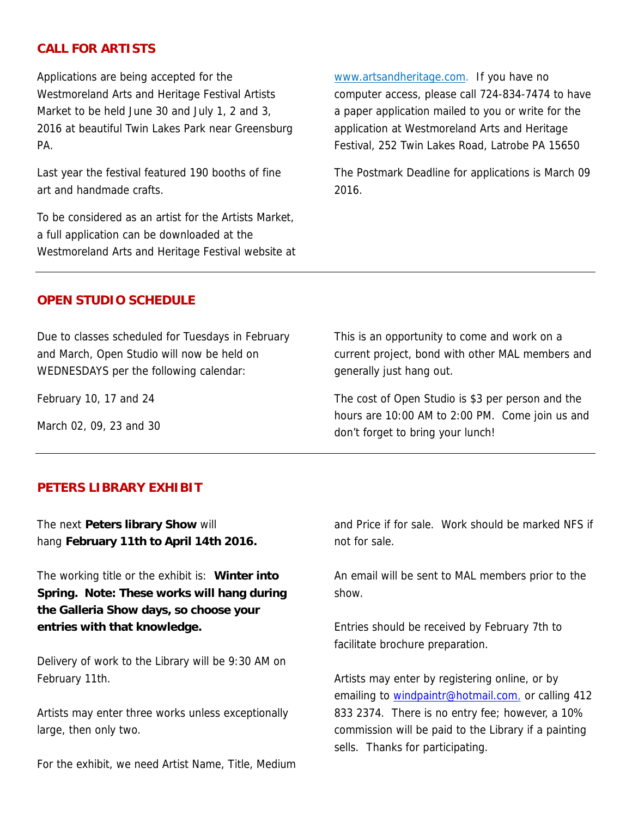#### **CALL FOR ARTISTS**

Applications are being accepted for the Westmoreland Arts and Heritage Festival Artists Market to be held June 30 and July 1, 2 and 3, 2016 at beautiful Twin Lakes Park near Greensburg PA.

Last year the festival featured 190 booths of fine art and handmade crafts.

To be considered as an artist for the Artists Market, a full application can be downloaded at the Westmoreland Arts and Heritage Festival website at www.artsandheritage.com. If you have no computer access, please call 724-834-7474 to have a paper application mailed to you or write for the application at Westmoreland Arts and Heritage Festival, 252 Twin Lakes Road, Latrobe PA 15650

The Postmark Deadline for applications is March 09 2016.

#### **OPEN STUDIO SCHEDULE**

Due to classes scheduled for Tuesdays in February and March, Open Studio will now be held on WEDNESDAYS per the following calendar:

February 10, 17 and 24

March 02, 09, 23 and 30

This is an opportunity to come and work on a current project, bond with other MAL members and generally just hang out.

The cost of Open Studio is \$3 per person and the hours are 10:00 AM to 2:00 PM. Come join us and don't forget to bring your lunch!

#### **PETERS LIBRARY EXHIBIT**

The next **Peters library Show** will hang **February 11th to April 14th 2016.**

The working title or the exhibit is: **Winter into Spring.** *Note: These works will hang during the Galleria Show days, so choose your entries with that knowledge.*

Delivery of work to the Library will be 9:30 AM on February 11th.

Artists may enter three works unless exceptionally large, then only two.

For the exhibit, we need Artist Name, Title, Medium

and Price if for sale. Work should be marked NFS if not for sale.

An email will be sent to MAL members prior to the show.

Entries should be received by February 7th to facilitate brochure preparation.

Artists may enter by registering online, or by emailing to windpaintr@hotmail.com, or calling 412 833 2374. There is no entry fee; however, a 10% commission will be paid to the Library if a painting sells. Thanks for participating.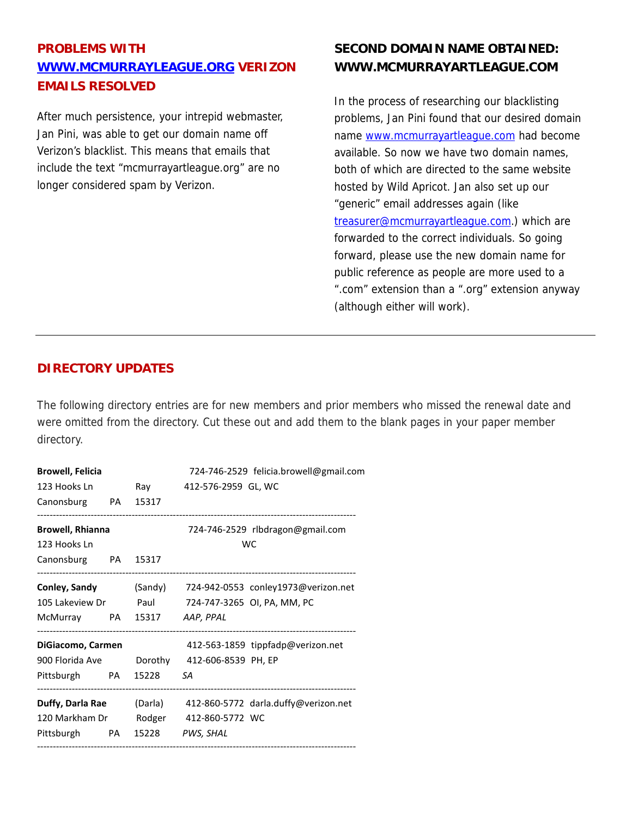# **PROBLEMS WITH WWW.MCMURRAYLEAGUE.ORG VERIZON EMAILS RESOLVED**

After much persistence, your intrepid webmaster, Jan Pini, was able to get our domain name off Verizon's blacklist. This means that emails that include the text "mcmurrayartleague.org" are no longer considered spam by Verizon.

# **SECOND DOMAIN NAME OBTAINED: WWW.MCMURRAYARTLEAGUE.COM**

In the process of researching our blacklisting problems, Jan Pini found that our desired domain name www.mcmurrayartleague.com had become available. So now we have two domain names, both of which are directed to the same website hosted by Wild Apricot. Jan also set up our "generic" email addresses again (like treasurer@mcmurrayartleague.com.) which are forwarded to the correct individuals. So going forward, please use the new domain name for public reference as people are more used to a ".com" extension than a ".org" extension anyway (although either will work).

# **DIRECTORY UPDATES**

The following directory entries are for new members and prior members who missed the renewal date and were omitted from the directory. Cut these out and add them to the blank pages in your paper member directory.

| <b>Browell, Felicia</b>       |  |  | 724-746-2529 felicia.browell@gmail.com                        |  |  |
|-------------------------------|--|--|---------------------------------------------------------------|--|--|
|                               |  |  | 123 Hooks Ln Ray 412-576-2959 GL, WC                          |  |  |
| Canonsburg PA 15317           |  |  |                                                               |  |  |
| <b>Browell, Rhianna</b>       |  |  | 724-746-2529 rlbdragon@gmail.com                              |  |  |
| 123 Hooks Ln                  |  |  | <b>WC</b>                                                     |  |  |
| Canonsburg PA 15317           |  |  |                                                               |  |  |
|                               |  |  | Conley, Sandy (Sandy) 724-942-0553 conley1973@verizon.net     |  |  |
|                               |  |  | 105 Lakeview Dr Paul 724-747-3265 OI, PA, MM, PC              |  |  |
| McMurray PA 15317 AAP, PPAL   |  |  |                                                               |  |  |
| DiGiacomo, Carmen             |  |  | 412-563-1859 tippfadp@verizon.net                             |  |  |
|                               |  |  | 900 Florida Ave Dorothy 412-606-8539 PH, EP                   |  |  |
| Pittsburgh PA 15228 SA        |  |  |                                                               |  |  |
|                               |  |  | Duffy, Darla Rae (Darla) 412-860-5772 darla.duffy@verizon.net |  |  |
|                               |  |  | 120 Markham Dr Rodger 412-860-5772 WC                         |  |  |
| Pittsburgh PA 15228 PWS, SHAL |  |  |                                                               |  |  |
|                               |  |  |                                                               |  |  |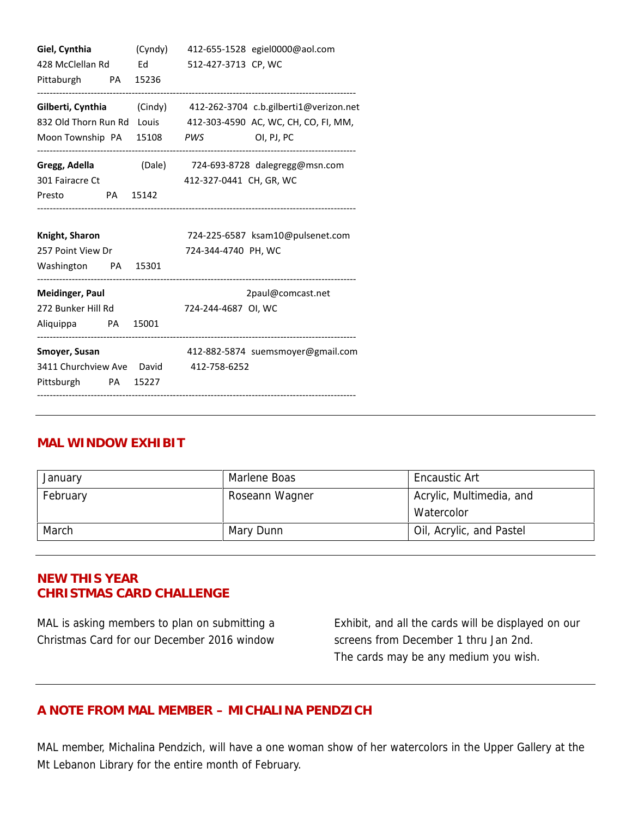| Giel, Cynthia                          |  |                                                                                                               | (Cyndy) 412-655-1528 egiel0000@aol.com                           |  |
|----------------------------------------|--|---------------------------------------------------------------------------------------------------------------|------------------------------------------------------------------|--|
| 428 McClellan Rd                       |  | Ed and the set of the set of the set of the set of the set of the set of the set of the set of the set of the | 512-427-3713 CP, WC                                              |  |
| Pittaburgh PA 15236                    |  |                                                                                                               |                                                                  |  |
|                                        |  |                                                                                                               | Gilberti, Cynthia (Cindy) 412-262-3704 c.b.gilberti1@verizon.net |  |
|                                        |  |                                                                                                               | 832 Old Thorn Run Rd Louis 412-303-4590 AC, WC, CH, CO, FI, MM,  |  |
|                                        |  |                                                                                                               | Moon Township PA 15108 PWS<br>OI, PJ, PC                         |  |
|                                        |  |                                                                                                               | Gregg, Adella (Dale) 724-693-8728 dalegregg@msn.com              |  |
| 301 Fairacre Ct                        |  |                                                                                                               | 412-327-0441 CH, GR, WC                                          |  |
| Presto                                 |  | PA 15142                                                                                                      |                                                                  |  |
| Knight, Sharon                         |  |                                                                                                               | 724-225-6587 ksam10@pulsenet.com                                 |  |
| 257 Point View Dr                      |  |                                                                                                               | 724-344-4740 PH, WC                                              |  |
| Washington PA 15301                    |  |                                                                                                               |                                                                  |  |
| <b>Meidinger, Paul</b>                 |  |                                                                                                               | 2paul@comcast.net                                                |  |
| 272 Bunker Hill Rd 724-244-4687 OI, WC |  |                                                                                                               |                                                                  |  |
| Aliquippa PA 15001                     |  |                                                                                                               |                                                                  |  |
| Smoyer, Susan                          |  |                                                                                                               | 412-882-5874 suemsmoyer@gmail.com                                |  |
|                                        |  |                                                                                                               | 3411 Churchview Ave David 412-758-6252                           |  |
|                                        |  | Pittsburgh PA 15227                                                                                           |                                                                  |  |

# **MAL WINDOW EXHIBIT**

| January  | Marlene Boas   | <b>Encaustic Art</b>     |  |
|----------|----------------|--------------------------|--|
| February | Roseann Wagner | Acrylic, Multimedia, and |  |
|          |                | Watercolor               |  |
| March    | Mary Dunn      | Oil, Acrylic, and Pastel |  |

# **NEW THIS YEAR CHRISTMAS CARD CHALLENGE**

MAL is asking members to plan on submitting a Christmas Card for our December 2016 window

Exhibit, and all the cards will be displayed on our screens from December 1 thru Jan 2nd. The cards may be any medium you wish.

# **A NOTE FROM MAL MEMBER – MICHALINA PENDZICH**

MAL member, Michalina Pendzich, will have a one woman show of her watercolors in the Upper Gallery at the Mt Lebanon Library for the entire month of February.